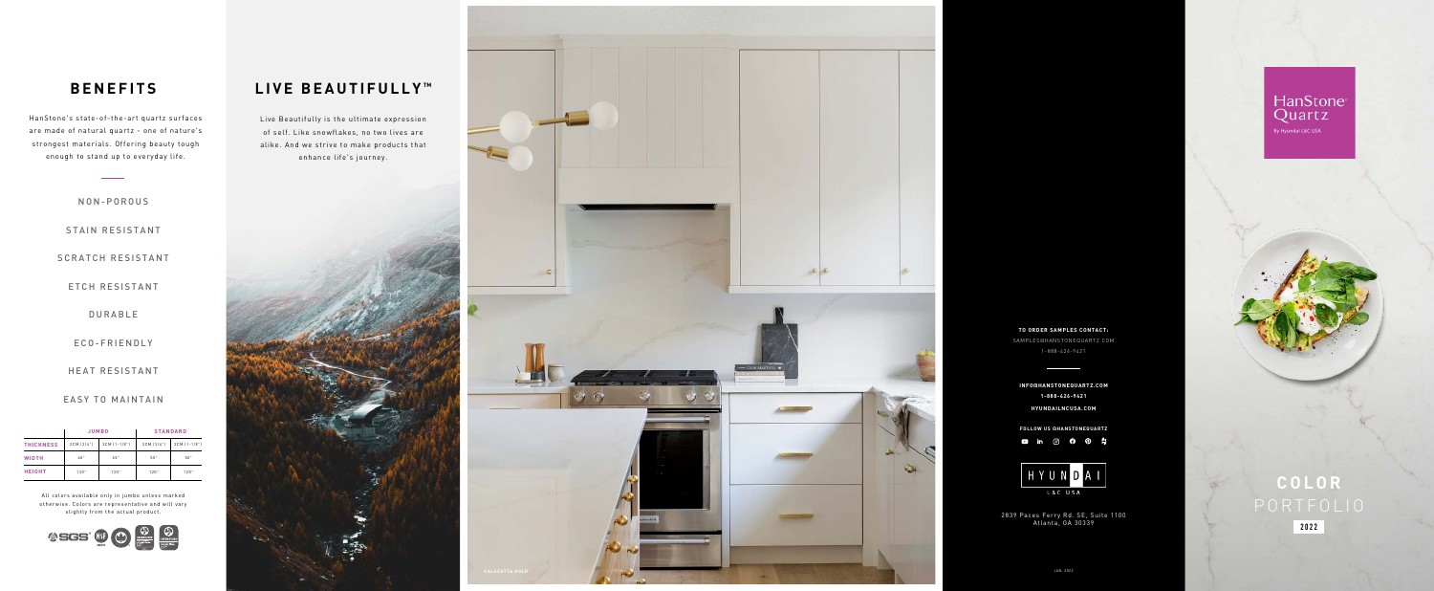## **LIVE BEAUTIFULLY TM**

Live Beautifully is the ultimate expression of self. Like snowflakes, no two lives are alike. And we strive to make products that enhance life's journey.



2839 Paces Ferry Rd. SE, Suite 1100 Atlanta, GA 30339

## HanStone Quartz

**HYUNDAILNCUSA.COM INFO@HANSTONEQUARTZ.COM 1-888-426-9421**







 $\bullet$ 



# **COLOR 2022**

HanStone's state-of-the-art quartz surfaces are made of natural quartz - one of nature's strongest materials. Offering beauty tough enough to stand up to everyday life.

## **BENEFITS**

#### NON-POROUS

#### STAIN RESISTANT

#### SCRATCH RESISTANT

#### ETCH RESISTANT

#### DURABLE

#### ECO-FRIENDLY

#### HEAT RESISTANT

#### EASY TO MAINTAIN

|                  | <b>JUMBO</b> |                  | <b>STANDARD</b> |              |
|------------------|--------------|------------------|-----------------|--------------|
| <b>THICKNESS</b> | 2CM (3/4")   | $3CM$ $(1-1/8")$ | 2CM (3/4")      | 3CM (1-1/8") |
| <b>WIDTH</b>     | 65"          | 65"              | 55"             | 55"          |
| <b>HEIGHT</b>    | 130"         | 130"             | 120"            | 120"         |

All colors available only in jumbo unless marked otherwise. Colors are representative and will vary slightly from the actual product.



JAN. 2022